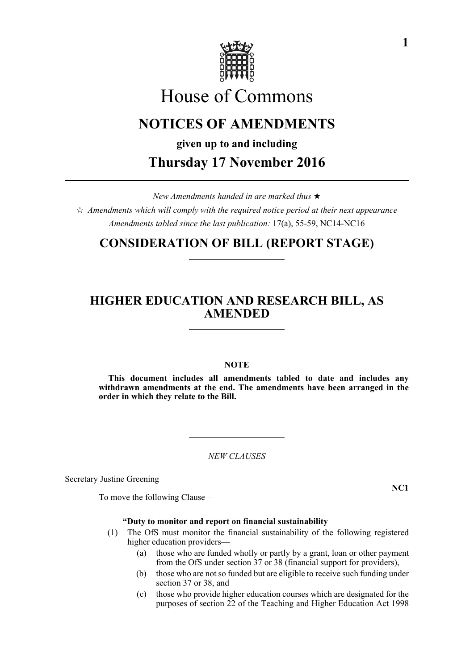

# House of Commons

# **NOTICES OF AMENDMENTS**

**given up to and including Thursday 17 November 2016**

*New Amendments handed in are marked thus* 

*Amendments which will comply with the required notice period at their next appearance Amendments tabled since the last publication:* 17(a), 55-59, NC14-NC16

# **CONSIDERATION OF BILL (REPORT STAGE)**

# **HIGHER EDUCATION AND RESEARCH BILL, AS AMENDED**

# **NOTE**

**This document includes all amendments tabled to date and includes any withdrawn amendments at the end. The amendments have been arranged in the order in which they relate to the Bill.**

*NEW CLAUSES*

Secretary Justine Greening

To move the following Clause—

# **"Duty to monitor and report on financial sustainability**

- (1) The OfS must monitor the financial sustainability of the following registered higher education providers—
	- (a) those who are funded wholly or partly by a grant, loan or other payment from the OfS under section 37 or 38 (financial support for providers),
	- (b) those who are not so funded but are eligible to receive such funding under section 37 or 38, and
	- (c) those who provide higher education courses which are designated for the purposes of section 22 of the Teaching and Higher Education Act 1998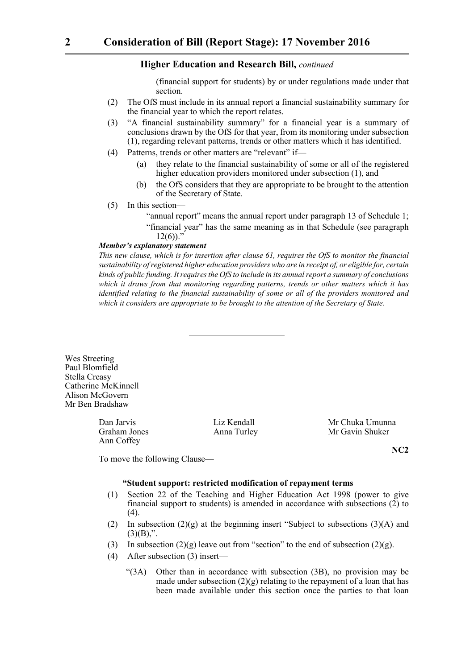(financial support for students) by or under regulations made under that section.

- (2) The OfS must include in its annual report a financial sustainability summary for the financial year to which the report relates.
- (3) "A financial sustainability summary" for a financial year is a summary of conclusions drawn by the OfS for that year, from its monitoring under subsection (1), regarding relevant patterns, trends or other matters which it has identified.
- (4) Patterns, trends or other matters are "relevant" if—
	- (a) they relate to the financial sustainability of some or all of the registered higher education providers monitored under subsection (1), and
	- (b) the OfS considers that they are appropriate to be brought to the attention of the Secretary of State.
- (5) In this section—
	- "annual report" means the annual report under paragraph 13 of Schedule 1; "financial year" has the same meaning as in that Schedule (see paragraph  $12(6)$ .

#### *Member's explanatory statement*

*This new clause, which is for insertion after clause 61, requires the OfS to monitor the financial sustainability of registered higher education providers who are in receipt of, or eligible for, certain kinds of public funding. It requires the OfS to include in its annual report a summary of conclusions which it draws from that monitoring regarding patterns, trends or other matters which it has identified relating to the financial sustainability of some or all of the providers monitored and which it considers are appropriate to be brought to the attention of the Secretary of State.*

Wes Streeting Paul Blomfield Stella Creasy Catherine McKinnell Alison McGovern Mr Ben Bradshaw

Ann Coffey

Dan Jarvis Liz Kendall Mr Chuka Umunna Anna Turley Mr Gavin Shuker

To move the following Clause—

**NC2**

### **"Student support: restricted modification of repayment terms**

- (1) Section 22 of the Teaching and Higher Education Act 1998 (power to give financial support to students) is amended in accordance with subsections  $(2)$  to  $(4)$ .
- (2) In subsection  $(2)(g)$  at the beginning insert "Subject to subsections  $(3)(A)$  and  $(3)(B)$ ,".
- (3) In subsection  $(2)(g)$  leave out from "section" to the end of subsection  $(2)(g)$ .
- (4) After subsection (3) insert—
	- "(3A) Other than in accordance with subsection (3B), no provision may be made under subsection  $(2)(g)$  relating to the repayment of a loan that has been made available under this section once the parties to that loan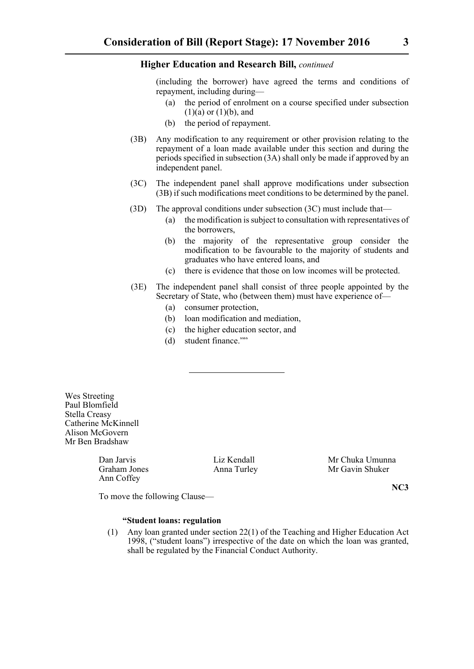(including the borrower) have agreed the terms and conditions of repayment, including during—

- (a) the period of enrolment on a course specified under subsection  $(1)(a)$  or  $(1)(b)$ , and
- (b) the period of repayment.
- (3B) Any modification to any requirement or other provision relating to the repayment of a loan made available under this section and during the periods specified in subsection (3A) shall only be made if approved by an independent panel.
- (3C) The independent panel shall approve modifications under subsection (3B) if such modifications meet conditions to be determined by the panel.
- (3D) The approval conditions under subsection (3C) must include that—
	- (a) the modification is subject to consultation with representatives of the borrowers,
	- (b) the majority of the representative group consider the modification to be favourable to the majority of students and graduates who have entered loans, and
	- (c) there is evidence that those on low incomes will be protected.
- (3E) The independent panel shall consist of three people appointed by the Secretary of State, who (between them) must have experience of—
	- (a) consumer protection,
	- (b) loan modification and mediation,
	- (c) the higher education sector, and
	- (d) student finance.""

Wes Streeting Paul Blomfield Stella Creasy Catherine McKinnell Alison McGovern Mr Ben Bradshaw

Ann Coffey

Dan Jarvis Liz Kendall Mr Chuka Umunna Graham Jones Anna Turley Mr Gavin Shuker

**NC3**

To move the following Clause—

**"Student loans: regulation**

(1) Any loan granted under section 22(1) of the Teaching and Higher Education Act 1998, ("student loans") irrespective of the date on which the loan was granted, shall be regulated by the Financial Conduct Authority.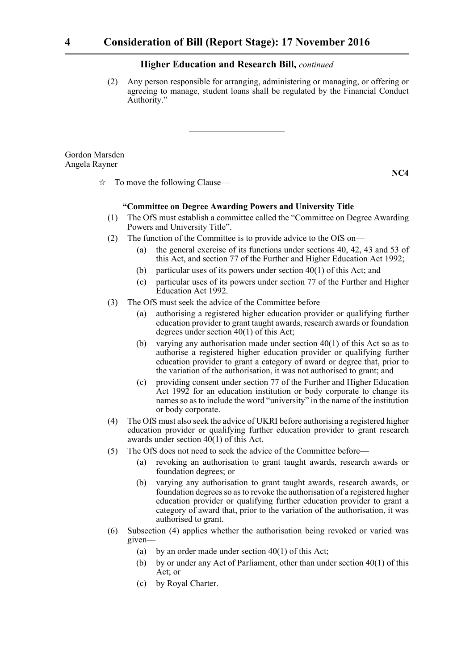(2) Any person responsible for arranging, administering or managing, or offering or agreeing to manage, student loans shall be regulated by the Financial Conduct Authority."

Gordon Marsden Angela Rayner

**NC4**

 $\vec{x}$  To move the following Clause—

#### **"Committee on Degree Awarding Powers and University Title**

- (1) The OfS must establish a committee called the "Committee on Degree Awarding Powers and University Title".
- (2) The function of the Committee is to provide advice to the OfS on—
	- (a) the general exercise of its functions under sections 40, 42, 43 and 53 of this Act, and section 77 of the Further and Higher Education Act 1992;
	- (b) particular uses of its powers under section 40(1) of this Act; and
	- (c) particular uses of its powers under section 77 of the Further and Higher Education Act 1992.
- (3) The OfS must seek the advice of the Committee before—
	- (a) authorising a registered higher education provider or qualifying further education provider to grant taught awards, research awards or foundation degrees under section 40(1) of this Act;
	- (b) varying any authorisation made under section 40(1) of this Act so as to authorise a registered higher education provider or qualifying further education provider to grant a category of award or degree that, prior to the variation of the authorisation, it was not authorised to grant; and
	- (c) providing consent under section 77 of the Further and Higher Education Act 1992 for an education institution or body corporate to change its names so as to include the word "university" in the name of the institution or body corporate.
- (4) The OfS must also seek the advice of UKRI before authorising a registered higher education provider or qualifying further education provider to grant research awards under section 40(1) of this Act.
- (5) The OfS does not need to seek the advice of the Committee before—
	- (a) revoking an authorisation to grant taught awards, research awards or foundation degrees; or
	- (b) varying any authorisation to grant taught awards, research awards, or foundation degrees so as to revoke the authorisation of a registered higher education provider or qualifying further education provider to grant a category of award that, prior to the variation of the authorisation, it was authorised to grant.
- (6) Subsection (4) applies whether the authorisation being revoked or varied was given—
	- (a) by an order made under section  $40(1)$  of this Act;
	- (b) by or under any Act of Parliament, other than under section 40(1) of this Act; or
	- (c) by Royal Charter.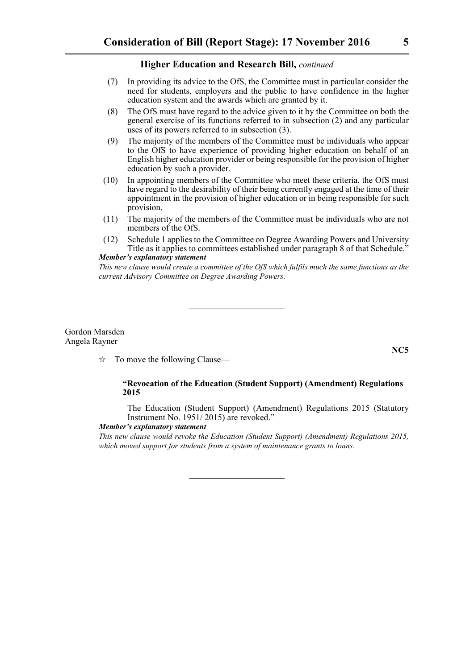- (7) In providing its advice to the OfS, the Committee must in particular consider the need for students, employers and the public to have confidence in the higher education system and the awards which are granted by it.
- (8) The OfS must have regard to the advice given to it by the Committee on both the general exercise of its functions referred to in subsection (2) and any particular uses of its powers referred to in subsection (3).
- (9) The majority of the members of the Committee must be individuals who appear to the OfS to have experience of providing higher education on behalf of an English higher education provider or being responsible for the provision of higher education by such a provider.
- (10) In appointing members of the Committee who meet these criteria, the OfS must have regard to the desirability of their being currently engaged at the time of their appointment in the provision of higher education or in being responsible for such provision.
- (11) The majority of the members of the Committee must be individuals who are not members of the OfS.
- (12) Schedule 1 applies to the Committee on Degree Awarding Powers and University Title as it applies to committees established under paragraph 8 of that Schedule.<sup>5</sup> *Member's explanatory statement*

*This new clause would create a committee of the OfS which fulfils much the same functions as the current Advisory Committee on Degree Awarding Powers.*

#### Gordon Marsden Angela Rayner

 $\vec{\mathcal{R}}$  To move the following Clause—

# **"Revocation of the Education (Student Support) (Amendment) Regulations 2015**

The Education (Student Support) (Amendment) Regulations 2015 (Statutory Instrument No. 1951/ 2015) are revoked."

#### *Member's explanatory statement*

*This new clause would revoke the Education (Student Support) (Amendment) Regulations 2015, which moved support for students from a system of maintenance grants to loans.*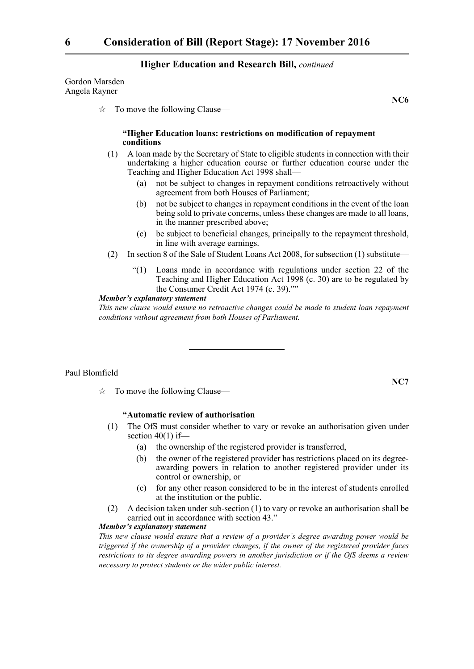Gordon Marsden Angela Rayner

 $\vec{\mathcal{R}}$  To move the following Clause—

# **"Higher Education loans: restrictions on modification of repayment conditions**

- (1) A loan made by the Secretary of State to eligible students in connection with their undertaking a higher education course or further education course under the Teaching and Higher Education Act 1998 shall—
	- (a) not be subject to changes in repayment conditions retroactively without agreement from both Houses of Parliament;
	- (b) not be subject to changes in repayment conditions in the event of the loan being sold to private concerns, unless these changes are made to all loans, in the manner prescribed above;
	- (c) be subject to beneficial changes, principally to the repayment threshold, in line with average earnings.
- (2) In section 8 of the Sale of Student Loans Act 2008, for subsection (1) substitute—
	- "(1) Loans made in accordance with regulations under section 22 of the Teaching and Higher Education Act 1998 (c. 30) are to be regulated by the Consumer Credit Act 1974 (c. 39).""

#### *Member's explanatory statement*

*This new clause would ensure no retroactive changes could be made to student loan repayment conditions without agreement from both Houses of Parliament.*

#### Paul Blomfield

# **"Automatic review of authorisation**

- (1) The OfS must consider whether to vary or revoke an authorisation given under section  $40(1)$  if-
	- (a) the ownership of the registered provider is transferred,
	- (b) the owner of the registered provider has restrictions placed on its degreeawarding powers in relation to another registered provider under its control or ownership, or
	- (c) for any other reason considered to be in the interest of students enrolled at the institution or the public.
- (2) A decision taken under sub-section (1) to vary or revoke an authorisation shall be carried out in accordance with section 43."

# *Member's explanatory statement*

*This new clause would ensure that a review of a provider's degree awarding power would be triggered if the ownership of a provider changes, if the owner of the registered provider faces restrictions to its degree awarding powers in another jurisdiction or if the OfS deems a review necessary to protect students or the wider public interest.*

**NC7**

 $\vec{x}$  To move the following Clause—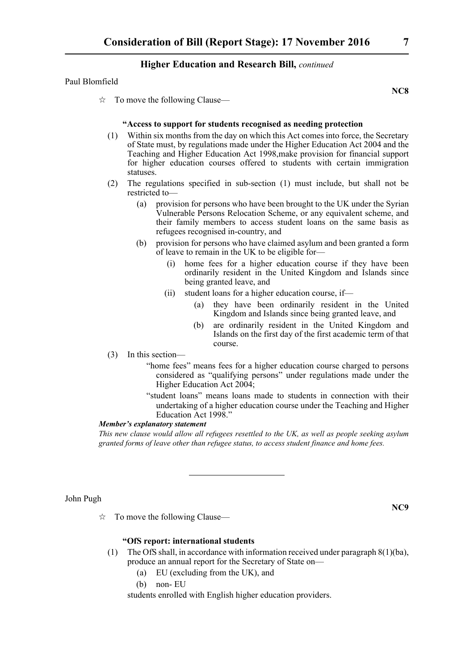#### Paul Blomfield

**NC8**

**NC9**

 $\vec{\mathcal{R}}$  To move the following Clause—

# **"Access to support for students recognised as needing protection**

- (1) Within six months from the day on which this Act comes into force, the Secretary of State must, by regulations made under the Higher Education Act 2004 and the Teaching and Higher Education Act 1998,make provision for financial support for higher education courses offered to students with certain immigration statuses.
- (2) The regulations specified in sub-section (1) must include, but shall not be restricted to—
	- (a) provision for persons who have been brought to the UK under the Syrian Vulnerable Persons Relocation Scheme, or any equivalent scheme, and their family members to access student loans on the same basis as refugees recognised in-country, and
	- (b) provision for persons who have claimed asylum and been granted a form of leave to remain in the UK to be eligible for—
		- (i) home fees for a higher education course if they have been ordinarily resident in the United Kingdom and Islands since being granted leave, and
		- (ii) student loans for a higher education course, if—
			- (a) they have been ordinarily resident in the United Kingdom and Islands since being granted leave, and
			- (b) are ordinarily resident in the United Kingdom and Islands on the first day of the first academic term of that course.
- (3) In this section—
	- "home fees" means fees for a higher education course charged to persons considered as "qualifying persons" under regulations made under the Higher Education Act 2004;
	- "student loans" means loans made to students in connection with their undertaking of a higher education course under the Teaching and Higher Education Act 1998."

# *Member's explanatory statement*

*This new clause would allow all refugees resettled to the UK, as well as people seeking asylum granted forms of leave other than refugee status, to access student finance and home fees.*

# John Pugh

 $\vec{x}$  To move the following Clause—

# **"OfS report: international students**

- (1) The OfS shall, in accordance with information received under paragraph 8(1)(ba), produce an annual report for the Secretary of State on—
	- (a) EU (excluding from the UK), and
	- (b) non- EU

students enrolled with English higher education providers.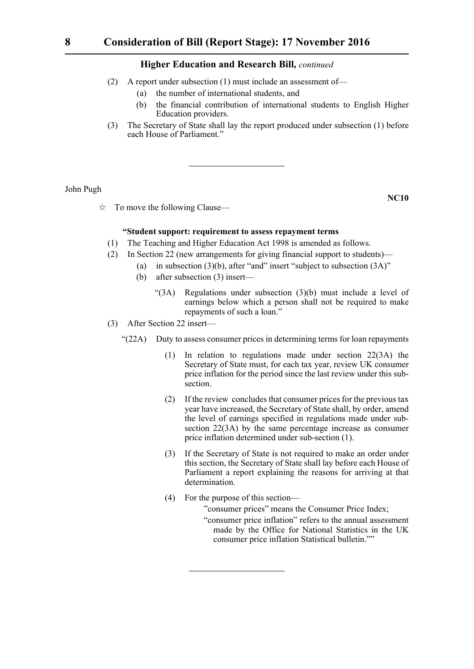- (2) A report under subsection (1) must include an assessment of—
	- (a) the number of international students, and
	- (b) the financial contribution of international students to English Higher Education providers.
- (3) The Secretary of State shall lay the report produced under subsection (1) before each House of Parliament."

John Pugh

 $\vec{\mathcal{R}}$  To move the following Clause—

**NC10**

# **"Student support: requirement to assess repayment terms**

- (1) The Teaching and Higher Education Act 1998 is amended as follows.
- (2) In Section 22 (new arrangements for giving financial support to students)—
	- (a) in subsection  $(3)(b)$ , after "and" insert "subject to subsection  $(3A)$ "
		- (b) after subsection (3) insert—
			- "(3A) Regulations under subsection (3)(b) must include a level of earnings below which a person shall not be required to make repayments of such a loan."
- (3) After Section 22 insert—
	- "(22A) Duty to assess consumer prices in determining terms for loan repayments
		- (1) In relation to regulations made under section 22(3A) the Secretary of State must, for each tax year, review UK consumer price inflation for the period since the last review under this subsection.
		- (2) If the review concludes that consumer prices for the previous tax year have increased, the Secretary of State shall, by order, amend the level of earnings specified in regulations made under subsection 22(3A) by the same percentage increase as consumer price inflation determined under sub-section (1).
		- (3) If the Secretary of State is not required to make an order under this section, the Secretary of State shall lay before each House of Parliament a report explaining the reasons for arriving at that determination.
		- (4) For the purpose of this section— "consumer prices" means the Consumer Price Index; "consumer price inflation" refers to the annual assessment made by the Office for National Statistics in the UK consumer price inflation Statistical bulletin.""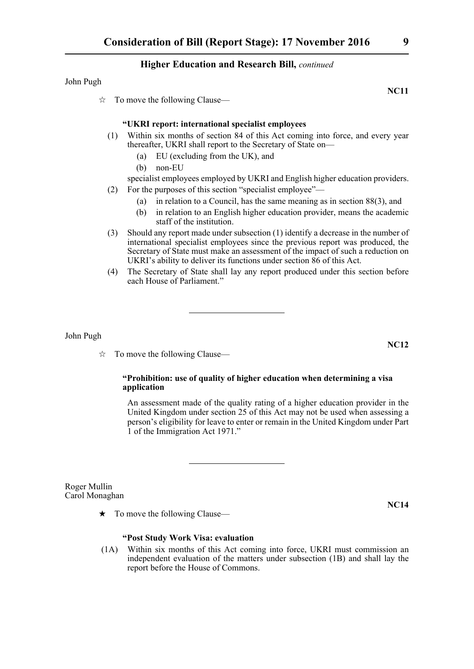# John Pugh

 $\vec{\mathcal{R}}$  To move the following Clause—

# **"UKRI report: international specialist employees**

- (1) Within six months of section 84 of this Act coming into force, and every year thereafter, UKRI shall report to the Secretary of State on—
	- (a) EU (excluding from the UK), and
	- (b) non-EU

# specialist employees employed by UKRI and English higher education providers.

- (2) For the purposes of this section "specialist employee"—
	- (a) in relation to a Council, has the same meaning as in section 88(3), and
	- (b) in relation to an English higher education provider, means the academic staff of the institution.
- (3) Should any report made under subsection (1) identify a decrease in the number of international specialist employees since the previous report was produced, the Secretary of State must make an assessment of the impact of such a reduction on UKRI's ability to deliver its functions under section 86 of this Act.
- (4) The Secretary of State shall lay any report produced under this section before each House of Parliament."

# John Pugh

 $\vec{\mathcal{R}}$  To move the following Clause—

# **"Prohibition: use of quality of higher education when determining a visa application**

An assessment made of the quality rating of a higher education provider in the United Kingdom under section 25 of this Act may not be used when assessing a person's eligibility for leave to enter or remain in the United Kingdom under Part 1 of the Immigration Act 1971."

Roger Mullin Carol Monaghan

 $\star$  To move the following Clause—

# **"Post Study Work Visa: evaluation**

(1A) Within six months of this Act coming into force, UKRI must commission an independent evaluation of the matters under subsection (1B) and shall lay the report before the House of Commons.

**NC12**

**NC14**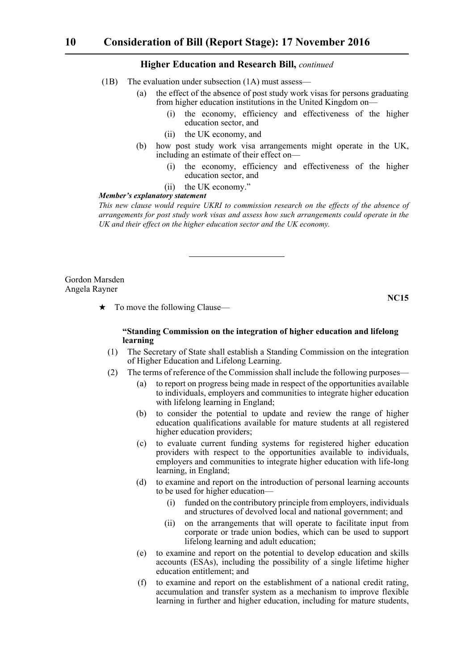- (1B) The evaluation under subsection (1A) must assess—
	- (a) the effect of the absence of post study work visas for persons graduating from higher education institutions in the United Kingdom on
		- the economy, efficiency and effectiveness of the higher education sector, and
		- (ii) the UK economy, and
	- (b) how post study work visa arrangements might operate in the UK, including an estimate of their effect on—
		- (i) the economy, efficiency and effectiveness of the higher education sector, and
		- (ii) the UK economy."

#### *Member's explanatory statement*

*This new clause would require UKRI to commission research on the effects of the absence of arrangements for post study work visas and assess how such arrangements could operate in the UK and their effect on the higher education sector and the UK economy.*

Gordon Marsden Angela Rayner

**NC15**

 $\star$  To move the following Clause—

# **"Standing Commission on the integration of higher education and lifelong learning**

- (1) The Secretary of State shall establish a Standing Commission on the integration of Higher Education and Lifelong Learning.
- (2) The terms of reference of the Commission shall include the following purposes—
	- (a) to report on progress being made in respect of the opportunities available to individuals, employers and communities to integrate higher education with lifelong learning in England;
	- (b) to consider the potential to update and review the range of higher education qualifications available for mature students at all registered higher education providers;
	- (c) to evaluate current funding systems for registered higher education providers with respect to the opportunities available to individuals, employers and communities to integrate higher education with life-long learning, in England;
	- (d) to examine and report on the introduction of personal learning accounts to be used for higher education—
		- (i) funded on the contributory principle from employers, individuals and structures of devolved local and national government; and
		- (ii) on the arrangements that will operate to facilitate input from corporate or trade union bodies, which can be used to support lifelong learning and adult education;
	- (e) to examine and report on the potential to develop education and skills accounts (ESAs), including the possibility of a single lifetime higher education entitlement; and
	- (f) to examine and report on the establishment of a national credit rating, accumulation and transfer system as a mechanism to improve flexible learning in further and higher education, including for mature students,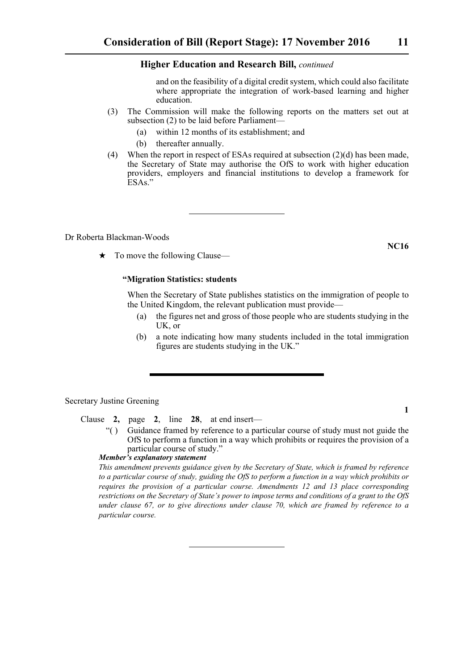and on the feasibility of a digital credit system, which could also facilitate where appropriate the integration of work-based learning and higher education.

- (3) The Commission will make the following reports on the matters set out at subsection (2) to be laid before Parliament—
	- (a) within 12 months of its establishment; and
	- (b) thereafter annually.
- (4) When the report in respect of ESAs required at subsection (2)(d) has been made, the Secretary of State may authorise the OfS to work with higher education providers, employers and financial institutions to develop a framework for ESAs."

Dr Roberta Blackman-Woods

 $\star$  To move the following Clause—

# **"Migration Statistics: students**

When the Secretary of State publishes statistics on the immigration of people to the United Kingdom, the relevant publication must provide—

- (a) the figures net and gross of those people who are students studying in the UK, or
- (b) a note indicating how many students included in the total immigration figures are students studying in the UK."

Secretary Justine Greening

Clause **2,** page **2**, line **28**, at end insert—

"( ) Guidance framed by reference to a particular course of study must not guide the OfS to perform a function in a way which prohibits or requires the provision of a particular course of study."

# *Member's explanatory statement*

*This amendment prevents guidance given by the Secretary of State, which is framed by reference to a particular course of study, guiding the OfS to perform a function in a way which prohibits or requires the provision of a particular course. Amendments 12 and 13 place corresponding restrictions on the Secretary of State's power to impose terms and conditions of a grant to the OfS under clause 67, or to give directions under clause 70, which are framed by reference to a particular course.*

**1**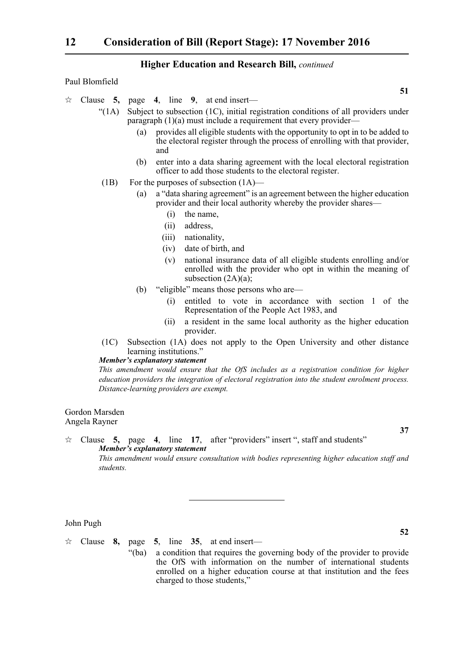# Paul Blomfield

 $\approx$  Clause **5,** page **4**, line **9**, at end insert—

- "(1A) Subject to subsection (1C), initial registration conditions of all providers under paragraph (1)(a) must include a requirement that every provider—
	- (a) provides all eligible students with the opportunity to opt in to be added to the electoral register through the process of enrolling with that provider, and
	- (b) enter into a data sharing agreement with the local electoral registration officer to add those students to the electoral register.
- (1B) For the purposes of subsection (1A)—
	- (a) a "data sharing agreement" is an agreement between the higher education provider and their local authority whereby the provider shares—
		- (i) the name,
		- (ii) address,
		- (iii) nationality,
		- (iv) date of birth, and
		- (v) national insurance data of all eligible students enrolling and/or enrolled with the provider who opt in within the meaning of subsection  $(2A)(a)$ ;
	- (b) "eligible" means those persons who are—
		- (i) entitled to vote in accordance with section 1 of the Representation of the People Act 1983, and
		- (ii) a resident in the same local authority as the higher education provider.
- (1C) Subsection (1A) does not apply to the Open University and other distance learning institutions."

#### *Member's explanatory statement*

*This amendment would ensure that the OfS includes as a registration condition for higher education providers the integration of electoral registration into the student enrolment process. Distance-learning providers are exempt.*

#### Gordon Marsden Angela Rayner

 Clause **5,** page **4**, line **17**, after "providers" insert ", staff and students" *Member's explanatory statement This amendment would ensure consultation with bodies representing higher education staff and students.*

#### John Pugh

 $\forall$  Clause **8**, page **5**, line **35**, at end insert— "(ba) a condition that requires the governing body of the provider to provide the OfS with information on the number of international students enrolled on a higher education course at that institution and the fees charged to those students,"

# **52**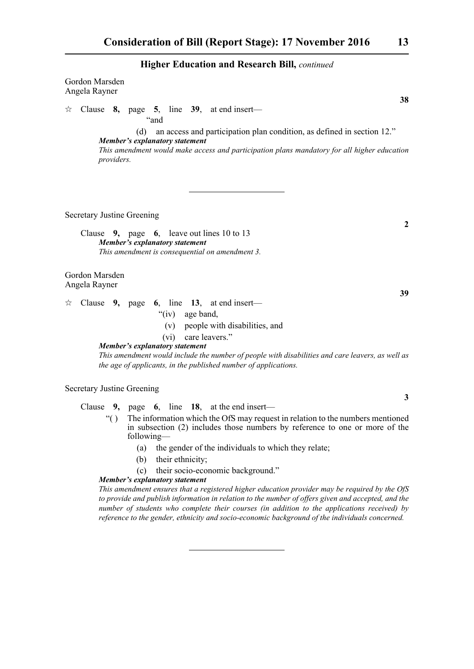|   | Gordon Marsden<br>Angela Rayner   |             |                                              |      |                         |  |                                                                                                                                                                                                                                                                               |              |
|---|-----------------------------------|-------------|----------------------------------------------|------|-------------------------|--|-------------------------------------------------------------------------------------------------------------------------------------------------------------------------------------------------------------------------------------------------------------------------------|--------------|
| ☆ |                                   |             |                                              | "and |                         |  | 38<br>Clause 8, page 5, line $39$ , at end insert—                                                                                                                                                                                                                            |              |
|   |                                   | providers.  | (d)<br>Member's explanatory statement        |      |                         |  | an access and participation plan condition, as defined in section 12."<br>This amendment would make access and participation plans mandatory for all higher education                                                                                                         |              |
|   | <b>Secretary Justine Greening</b> |             |                                              |      |                         |  |                                                                                                                                                                                                                                                                               |              |
|   |                                   |             | Member's explanatory statement               |      |                         |  | Clause $9$ , page 6, leave out lines 10 to 13<br>This amendment is consequential on amendment 3.                                                                                                                                                                              | 2            |
|   | Gordon Marsden<br>Angela Rayner   |             |                                              |      |                         |  |                                                                                                                                                                                                                                                                               |              |
| ☆ |                                   |             | <b>Member's explanatory statement</b>        |      | "(iv) age band,<br>(vi) |  | 39<br>Clause 9, page 6, line 13, at end insert—<br>(v) people with disabilities, and<br>care leavers."<br>This amendment would include the number of people with disabilities and care leavers, as well as<br>the age of applicants, in the published number of applications. |              |
|   | <b>Secretary Justine Greening</b> |             |                                              |      |                         |  |                                                                                                                                                                                                                                                                               | $\mathbf{3}$ |
|   |                                   | $\lq\lq$ () | following-<br>(a)<br>(b)                     |      | their ethnicity;        |  | Clause $9$ , page $6$ , line 18, at the end insert—<br>The information which the OfS may request in relation to the numbers mentioned<br>in subsection (2) includes those numbers by reference to one or more of the<br>the gender of the individuals to which they relate;   |              |
|   |                                   |             | (c)<br><b>Member's explanatory statement</b> |      |                         |  | their socio-economic background."                                                                                                                                                                                                                                             |              |

*This amendment ensures that a registered higher education provider may be required by the OfS to provide and publish information in relation to the number of offers given and accepted, and the number of students who complete their courses (in addition to the applications received) by reference to the gender, ethnicity and socio-economic background of the individuals concerned.*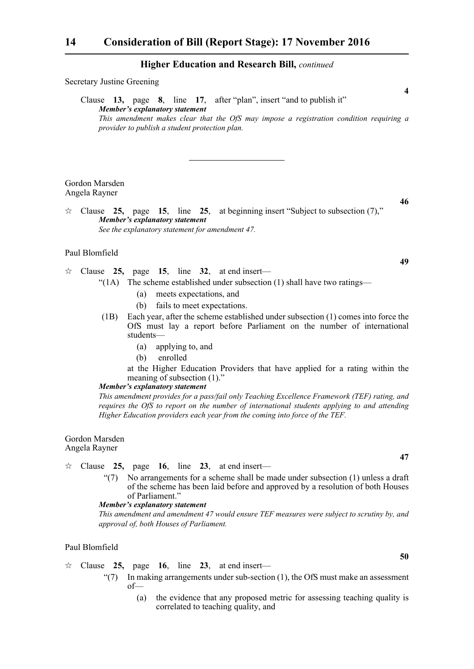| <b>Secretary Justine Greening</b> |                                                                                                                                           |                        |  |  |  |  |  |
|-----------------------------------|-------------------------------------------------------------------------------------------------------------------------------------------|------------------------|--|--|--|--|--|
|                                   | Clause 13, page 8, line 17, after "plan", insert "and to publish it"<br>Member's explanatory statement                                    | $\boldsymbol{\Lambda}$ |  |  |  |  |  |
|                                   | This amendment makes clear that the OfS may impose a registration condition requiring a<br>provider to publish a student protection plan. |                        |  |  |  |  |  |

Gordon Marsden Angela Rayner

**46**

 Clause **25,** page **15**, line **25**, at beginning insert "Subject to subsection (7)," *Member's explanatory statement See the explanatory statement for amendment 47.*

# Paul Blomfield

- $\approx$  Clause 25, page 15, line 32, at end insert—
	- "(1A) The scheme established under subsection (1) shall have two ratings—
		- (a) meets expectations, and
		- (b) fails to meet expectations.
	- (1B) Each year, after the scheme established under subsection (1) comes into force the OfS must lay a report before Parliament on the number of international students—
		- (a) applying to, and
		- (b) enrolled

at the Higher Education Providers that have applied for a rating within the meaning of subsection (1)."

# *Member's explanatory statement*

*This amendment provides for a pass/fail only Teaching Excellence Framework (TEF) rating, and requires the OfS to report on the number of international students applying to and attending Higher Education providers each year from the coming into force of the TEF.*

#### Gordon Marsden Angela Rayner

- $\approx$  Clause 25, page 16, line 23, at end insert—
	- "(7) No arrangements for a scheme shall be made under subsection (1) unless a draft of the scheme has been laid before and approved by a resolution of both Houses of Parliament."

# *Member's explanatory statement*

*This amendment and amendment 47 would ensure TEF measures were subject to scrutiny by, and approval of, both Houses of Parliament.*

### Paul Blomfield

- $\approx$  Clause 25, page 16, line 23, at end insert—
	- " $(7)$  In making arrangements under sub-section  $(1)$ , the OfS must make an assessment of—
		- (a) the evidence that any proposed metric for assessing teaching quality is correlated to teaching quality, and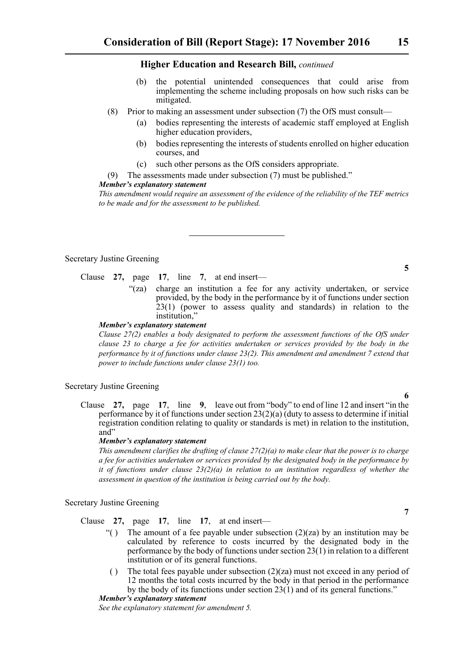- (b) the potential unintended consequences that could arise from implementing the scheme including proposals on how such risks can be mitigated.
- (8) Prior to making an assessment under subsection (7) the OfS must consult—
	- (a) bodies representing the interests of academic staff employed at English higher education providers,
	- (b) bodies representing the interests of students enrolled on higher education courses, and
	- (c) such other persons as the OfS considers appropriate.
- (9) The assessments made under subsection (7) must be published."

#### *Member's explanatory statement*

*This amendment would require an assessment of the evidence of the reliability of the TEF metrics to be made and for the assessment to be published.*

Secretary Justine Greening

# Clause **27,** page **17**, line **7**, at end insert—

"(za) charge an institution a fee for any activity undertaken, or service provided, by the body in the performance by it of functions under section 23(1) (power to assess quality and standards) in relation to the institution,"

#### *Member's explanatory statement*

*Clause 27(2) enables a body designated to perform the assessment functions of the OfS under clause 23 to charge a fee for activities undertaken or services provided by the body in the performance by it of functions under clause 23(2). This amendment and amendment 7 extend that power to include functions under clause 23(1) too.*

# Secretary Justine Greening

Clause **27,** page **17**, line **9**, leave out from "body" to end of line 12 and insert "in the performance by it of functions under section 23(2)(a) (duty to assess to determine if initial registration condition relating to quality or standards is met) in relation to the institution, and"

#### *Member's explanatory statement*

*This amendment clarifies the drafting of clause 27(2)(a) to make clear that the power is to charge a fee for activities undertaken or services provided by the designated body in the performance by it of functions under clause 23(2)(a) in relation to an institution regardless of whether the assessment in question of the institution is being carried out by the body.*

Secretary Justine Greening

Clause **27,** page **17**, line **17**, at end insert—

- "() The amount of a fee payable under subsection  $(2)(za)$  by an institution may be calculated by reference to costs incurred by the designated body in the performance by the body of functions under section 23(1) in relation to a different institution or of its general functions.
- ( ) The total fees payable under subsection  $(2)(za)$  must not exceed in any period of 12 months the total costs incurred by the body in that period in the performance by the body of its functions under section  $23(1)$  and of its general functions."

*Member's explanatory statement* 

*See the explanatory statement for amendment 5.*

# **6**

**5**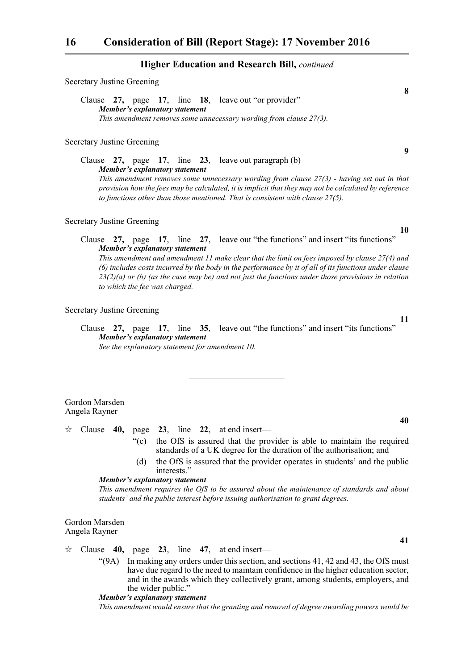Clause **27,** page **17**, line **18**, leave out "or provider" *Member's explanatory statement This amendment removes some unnecessary wording from clause 27(3).*

#### Secretary Justine Greening

Secretary Justine Greening

Clause **27,** page **17**, line **23**, leave out paragraph (b) *Member's explanatory statement This amendment removes some unnecessary wording from clause 27(3) - having set out in that provision how the fees may be calculated, it is implicit that they may not be calculated by reference to functions other than those mentioned. That is consistent with clause 27(5).* 

# Secretary Justine Greening

Clause **27,** page **17**, line **27**, leave out "the functions" and insert "its functions" *Member's explanatory statement This amendment and amendment 11 make clear that the limit on fees imposed by clause 27(4) and (6) includes costs incurred by the body in the performance by it of all of its functions under clause 23(2)(a) or (b) (as the case may be) and not just the functions under those provisions in relation to which the fee was charged.* 

#### Secretary Justine Greening

Clause **27,** page **17**, line **35**, leave out "the functions" and insert "its functions" *Member's explanatory statement See the explanatory statement for amendment 10.* 

Gordon Marsden Angela Rayner

 $\approx$  Clause **40,** page **23**, line **22**, at end insert—

- "(c) the OfS is assured that the provider is able to maintain the required standards of a UK degree for the duration of the authorisation; and
- (d) the OfS is assured that the provider operates in students' and the public interests."

#### *Member's explanatory statement*

*This amendment requires the OfS to be assured about the maintenance of standards and about students' and the public interest before issuing authorisation to grant degrees.*

Gordon Marsden Angela Rayner

 $\approx$  Clause **40,** page **23**, line **47**, at end insert—

 $(9A)$  In making any orders under this section, and sections 41, 42 and 43, the OfS must have due regard to the need to maintain confidence in the higher education sector, and in the awards which they collectively grant, among students, employers, and the wider public."

#### *Member's explanatory statement*

*This amendment would ensure that the granting and removal of degree awarding powers would be*

**9**

**10**

**8**

**11**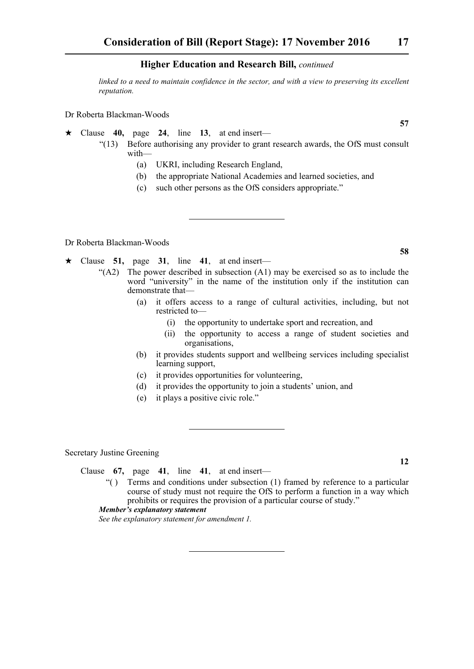*linked to a need to maintain confidence in the sector, and with a view to preserving its excellent reputation.*

Dr Roberta Blackman-Woods

- Clause **40,** page **24**, line **13**, at end insert—
	- "(13) Before authorising any provider to grant research awards, the OfS must consult with—
		- (a) UKRI, including Research England,
		- (b) the appropriate National Academies and learned societies, and
		- (c) such other persons as the OfS considers appropriate."

Dr Roberta Blackman-Woods

- $\star$  Clause 51, page 31, line 41, at end insert—
	- " $(A2)$  The power described in subsection  $(A1)$  may be exercised so as to include the word "university" in the name of the institution only if the institution can demonstrate that—
		- (a) it offers access to a range of cultural activities, including, but not restricted to—
			- (i) the opportunity to undertake sport and recreation, and
			- (ii) the opportunity to access a range of student societies and organisations,
		- (b) it provides students support and wellbeing services including specialist learning support,
		- (c) it provides opportunities for volunteering,
		- (d) it provides the opportunity to join a students' union, and
		- (e) it plays a positive civic role."

Secretary Justine Greening

Clause **67,** page **41**, line **41**, at end insert—

"( ) Terms and conditions under subsection (1) framed by reference to a particular course of study must not require the OfS to perform a function in a way which prohibits or requires the provision of a particular course of study."

# *Member's explanatory statement*

*See the explanatory statement for amendment 1.* 

**12**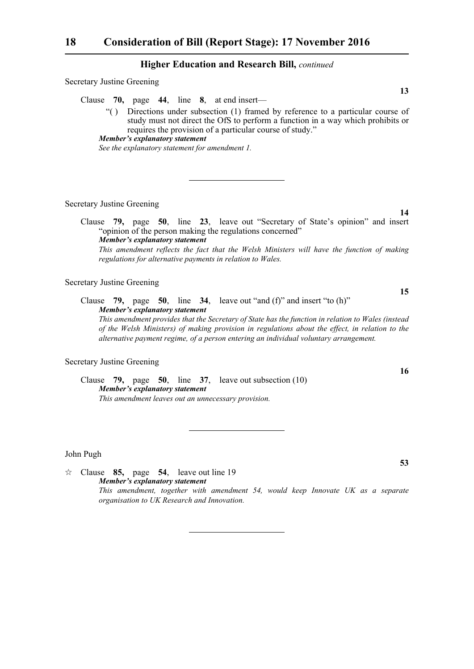Secretary Justine Greening

Clause **70,** page **44**, line **8**, at end insert—

"( ) Directions under subsection (1) framed by reference to a particular course of study must not direct the OfS to perform a function in a way which prohibits or requires the provision of a particular course of study."

*See the explanatory statement for amendment 1.*

Secretary Justine Greening

Clause **79,** page **50**, line **23**, leave out "Secretary of State's opinion" and insert "opinion of the person making the regulations concerned" *Member's explanatory statement This amendment reflects the fact that the Welsh Ministers will have the function of making regulations for alternative payments in relation to Wales.* 

Secretary Justine Greening

Clause **79,** page **50**, line **34**, leave out "and (f)" and insert "to (h)" *Member's explanatory statement This amendment provides that the Secretary of State has the function in relation to Wales (instead*

*of the Welsh Ministers) of making provision in regulations about the effect, in relation to the alternative payment regime, of a person entering an individual voluntary arrangement.*

Secretary Justine Greening

Clause **79,** page **50**, line **37**, leave out subsection (10) *Member's explanatory statement This amendment leaves out an unnecessary provision.*

John Pugh

 $\approx$  Clause **85,** page **54**, leave out line 19 *Member's explanatory statement This amendment, together with amendment 54, would keep Innovate UK as a separate organisation to UK Research and Innovation.*

**16**

**13**

*Member's explanatory statement*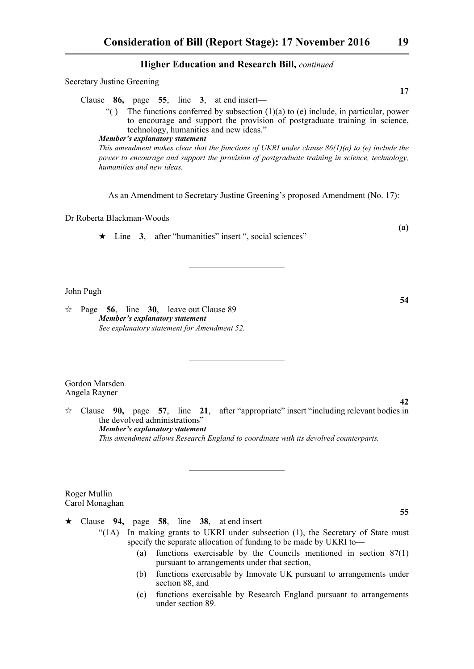Secretary Justine Greening

Clause **86,** page **55**, line **3**, at end insert—

"() The functions conferred by subsection  $(1)(a)$  to  $(e)$  include, in particular, power to encourage and support the provision of postgraduate training in science, technology, humanities and new ideas."

*Member's explanatory statement This amendment makes clear that the functions of UKRI under clause 86(1)(a) to (e) include the power to encourage and support the provision of postgraduate training in science, technology, humanities and new ideas.*

As an Amendment to Secretary Justine Greening's proposed Amendment (No. 17):—

# Dr Roberta Blackman-Woods

 $\star$  Line 3, after "humanities" insert ", social sciences"

# John Pugh

 $\approx$  Page 56, line 30, leave out Clause 89 *Member's explanatory statement See explanatory statement for Amendment 52.*

Gordon Marsden Angela Rayner

 $\approx$  Clause **90,** page **57**, line **21**, after "appropriate" insert "including relevant bodies in the devolved administrations" *Member's explanatory statement This amendment allows Research England to coordinate with its devolved counterparts.*

Roger Mullin Carol Monaghan

 $\star$  Clause 94, page 58, line 38, at end insert—

- "(1A) In making grants to UKRI under subsection (1), the Secretary of State must specify the separate allocation of funding to be made by UKRI to—
	- (a) functions exercisable by the Councils mentioned in section 87(1) pursuant to arrangements under that section,
	- (b) functions exercisable by Innovate UK pursuant to arrangements under section 88, and
	- (c) functions exercisable by Research England pursuant to arrangements under section 89.

**17**

**54**

**42**

**(a)**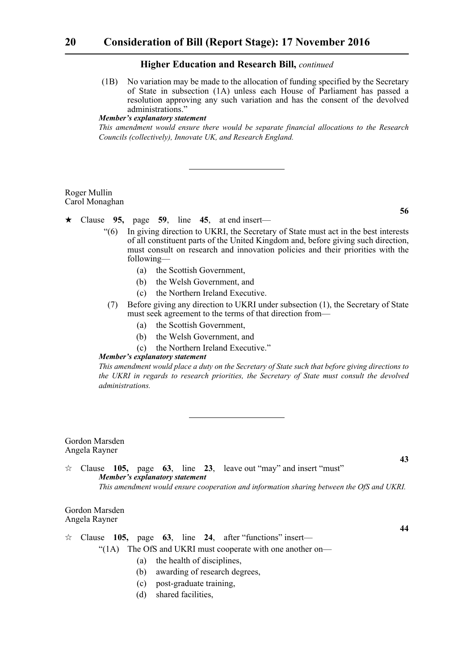(1B) No variation may be made to the allocation of funding specified by the Secretary of State in subsection (1A) unless each House of Parliament has passed a resolution approving any such variation and has the consent of the devolved administrations."

# *Member's explanatory statement*

*This amendment would ensure there would be separate financial allocations to the Research Councils (collectively), Innovate UK, and Research England.*

#### Roger Mullin Carol Monaghan

Clause **95,** page **59**, line **45**, at end insert—

- "(6) In giving direction to UKRI, the Secretary of State must act in the best interests of all constituent parts of the United Kingdom and, before giving such direction, must consult on research and innovation policies and their priorities with the following—
	- (a) the Scottish Government,
	- (b) the Welsh Government, and
	- (c) the Northern Ireland Executive.
- (7) Before giving any direction to UKRI under subsection (1), the Secretary of State must seek agreement to the terms of that direction from—
	- (a) the Scottish Government,
	- (b) the Welsh Government, and
	- (c) the Northern Ireland Executive."

# *Member's explanatory statement*

*This amendment would place a duty on the Secretary of State such that before giving directions to the UKRI in regards to research priorities, the Secretary of State must consult the devolved administrations.*

#### Gordon Marsden Angela Rayner

**43** Clause **105,** page **63**, line **23**, leave out "may" and insert "must" *Member's explanatory statement This amendment would ensure cooperation and information sharing between the OfS and UKRI.*

#### Gordon Marsden Angela Rayner

Clause **105,** page **63**, line **24**, after "functions" insert—

"(1A) The OfS and UKRI must cooperate with one another on—

- (a) the health of disciplines,
- (b) awarding of research degrees,
- (c) post-graduate training,
- (d) shared facilities,

**56**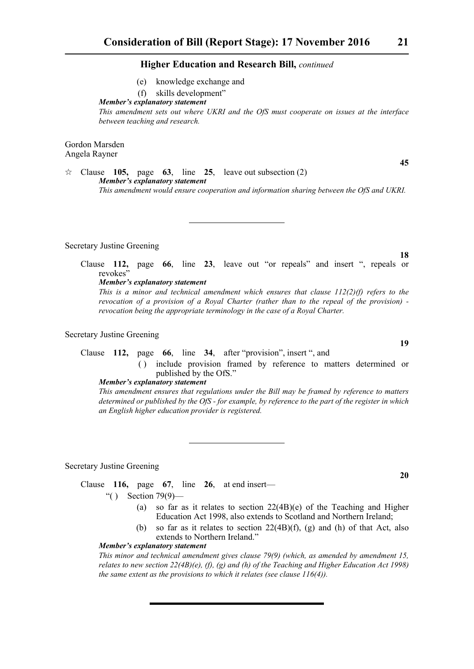- (e) knowledge exchange and
- (f) skills development"

#### *Member's explanatory statement*

*This amendment sets out where UKRI and the OfS must cooperate on issues at the interface between teaching and research.*

Gordon Marsden Angela Rayner

 $\approx$  Clause **105,** page **63**, line **25**, leave out subsection (2) *Member's explanatory statement This amendment would ensure cooperation and information sharing between the OfS and UKRI.*

#### Secretary Justine Greening

Clause **112,** page **66**, line **23**, leave out "or repeals" and insert ", repeals or revokes'

*Member's explanatory statement* 

*This is a minor and technical amendment which ensures that clause 112(2)(f) refers to the revocation of a provision of a Royal Charter (rather than to the repeal of the provision) revocation being the appropriate terminology in the case of a Royal Charter.*

# Secretary Justine Greening

# Clause **112,** page **66**, line **34**, after "provision", insert ", and

( ) include provision framed by reference to matters determined or published by the OfS."

#### *Member's explanatory statement*

*This amendment ensures that regulations under the Bill may be framed by reference to matters determined or published by the OfS - for example, by reference to the part of the register in which an English higher education provider is registered.*

Secretary Justine Greening

Clause **116,** page **67**, line **26**, at end insert—

- "( ) Section 79(9)—
	- (a) so far as it relates to section 22(4B)(e) of the Teaching and Higher Education Act 1998, also extends to Scotland and Northern Ireland;
	- (b) so far as it relates to section  $22(4B)(f)$ , (g) and (h) of that Act, also extends to Northern Ireland."

#### *Member's explanatory statement*

*This minor and technical amendment gives clause 79(9) (which, as amended by amendment 15, relates to new section 22(4B)(e), (f), (g) and (h) of the Teaching and Higher Education Act 1998) the same extent as the provisions to which it relates (see clause 116(4)).*

**18**

**19**

**45**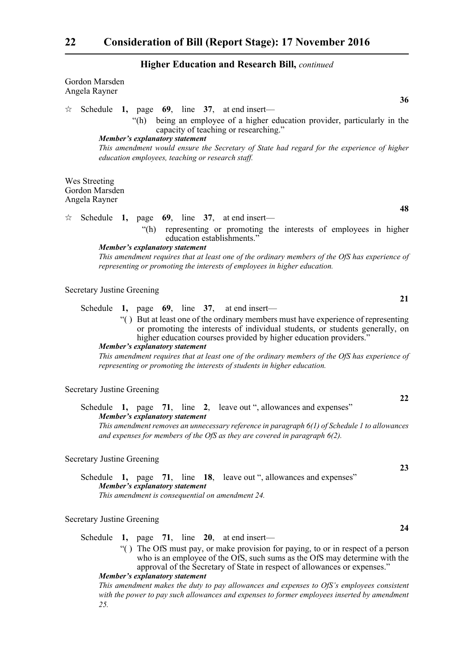| Gordon Marsden<br>Angela Rayner                                                                                                                                                                                                                                                                                                                                                                                                                               |
|---------------------------------------------------------------------------------------------------------------------------------------------------------------------------------------------------------------------------------------------------------------------------------------------------------------------------------------------------------------------------------------------------------------------------------------------------------------|
| 36                                                                                                                                                                                                                                                                                                                                                                                                                                                            |
| Schedule 1, page $69$ , line 37, at end insert—<br>☆<br>being an employee of a higher education provider, particularly in the<br>"(h)<br>capacity of teaching or researching."<br><b>Member's explanatory statement</b><br>This amendment would ensure the Secretary of State had regard for the experience of higher<br>education employees, teaching or research staff.                                                                                     |
| Wes Streeting<br>Gordon Marsden<br>Angela Rayner                                                                                                                                                                                                                                                                                                                                                                                                              |
| 48<br>Schedule 1, page $69$ , line 37, at end insert—<br>☆                                                                                                                                                                                                                                                                                                                                                                                                    |
| "(h) representing or promoting the interests of employees in higher<br>education establishments."<br><b>Member's explanatory statement</b><br>This amendment requires that at least one of the ordinary members of the OfS has experience of<br>representing or promoting the interests of employees in higher education.                                                                                                                                     |
| <b>Secretary Justine Greening</b><br>21                                                                                                                                                                                                                                                                                                                                                                                                                       |
| Schedule 1, page $69$ , line 37, at end insert—                                                                                                                                                                                                                                                                                                                                                                                                               |
| "() But at least one of the ordinary members must have experience of representing<br>or promoting the interests of individual students, or students generally, on<br>higher education courses provided by higher education providers."<br><b>Member's explanatory statement</b><br>This amendment requires that at least one of the ordinary members of the OfS has experience of<br>representing or promoting the interests of students in higher education. |
| <b>Secretary Justine Greening</b>                                                                                                                                                                                                                                                                                                                                                                                                                             |
| 22<br>Schedule 1, page 71, line 2, leave out ", allowances and expenses"<br>Member's explanatory statement                                                                                                                                                                                                                                                                                                                                                    |
| This amendment removes an unnecessary reference in paragraph 6(1) of Schedule 1 to allowances<br>and expenses for members of the OfS as they are covered in paragraph $6(2)$ .                                                                                                                                                                                                                                                                                |
| <b>Secretary Justine Greening</b><br>23                                                                                                                                                                                                                                                                                                                                                                                                                       |
| Schedule 1, page 71, line 18, leave out ", allowances and expenses"<br>Member's explanatory statement<br>This amendment is consequential on amendment 24.                                                                                                                                                                                                                                                                                                     |
| <b>Secretary Justine Greening</b>                                                                                                                                                                                                                                                                                                                                                                                                                             |
| 24<br>Schedule<br>1, page 71, line 20, at end insert—                                                                                                                                                                                                                                                                                                                                                                                                         |
| "() The OfS must pay, or make provision for paying, to or in respect of a person<br>who is an employee of the OfS, such sums as the OfS may determine with the<br>approval of the Secretary of State in respect of allowances or expenses."<br>Member's explanatory statement                                                                                                                                                                                 |

*This amendment makes the duty to pay allowances and expenses to OfS's employees consistent with the power to pay such allowances and expenses to former employees inserted by amendment 25.*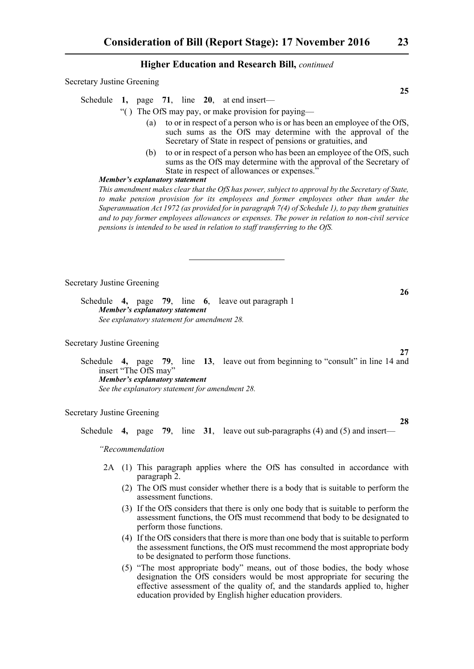Secretary Justine Greening

Schedule **1,** page **71**, line **20**, at end insert—

"( ) The OfS may pay, or make provision for paying—

- (a) to or in respect of a person who is or has been an employee of the OfS, such sums as the OfS may determine with the approval of the Secretary of State in respect of pensions or gratuities, and
- (b) to or in respect of a person who has been an employee of the OfS, such sums as the OfS may determine with the approval of the Secretary of State in respect of allowances or expenses.<sup>7</sup>

### *Member's explanatory statement*

*This amendment makes clear that the OfS has power, subject to approval by the Secretary of State, to make pension provision for its employees and former employees other than under the Superannuation Act 1972 (as provided for in paragraph 7(4) of Schedule 1), to pay them gratuities and to pay former employees allowances or expenses. The power in relation to non-civil service pensions is intended to be used in relation to staff transferring to the OfS.*

Secretary Justine Greening

Schedule **4,** page **79**, line **6**, leave out paragraph 1 *Member's explanatory statement See explanatory statement for amendment 28.*

#### Secretary Justine Greening

Schedule **4,** page **79**, line **13**, leave out from beginning to "consult" in line 14 and insert "The OfS may" *Member's explanatory statement See the explanatory statement for amendment 28.*

# Secretary Justine Greening

Schedule **4,** page **79**, line **31**, leave out sub-paragraphs (4) and (5) and insert—

*"Recommendation*

- 2A (1) This paragraph applies where the OfS has consulted in accordance with paragraph 2.
	- (2) The OfS must consider whether there is a body that is suitable to perform the assessment functions.
	- (3) If the OfS considers that there is only one body that is suitable to perform the assessment functions, the OfS must recommend that body to be designated to perform those functions.
	- (4) If the OfS considers that there is more than one body that is suitable to perform the assessment functions, the OfS must recommend the most appropriate body to be designated to perform those functions.
	- (5) "The most appropriate body" means, out of those bodies, the body whose designation the OfS considers would be most appropriate for securing the effective assessment of the quality of, and the standards applied to, higher education provided by English higher education providers.

**25**

**26**

**27**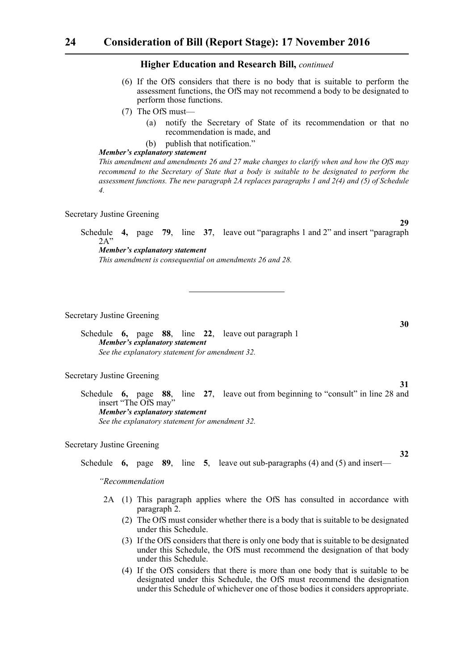- (6) If the OfS considers that there is no body that is suitable to perform the assessment functions, the OfS may not recommend a body to be designated to perform those functions.
- (7) The OfS must—
	- (a) notify the Secretary of State of its recommendation or that no recommendation is made, and

**29**

**30**

**31**

**32**

(b) publish that notification."

# *Member's explanatory statement*

*This amendment and amendments 26 and 27 make changes to clarify when and how the OfS may recommend to the Secretary of State that a body is suitable to be designated to perform the assessment functions. The new paragraph 2A replaces paragraphs 1 and 2(4) and (5) of Schedule 4.*

#### Secretary Justine Greening

Schedule **4,** page **79**, line **37**, leave out "paragraphs 1 and 2" and insert "paragraph  $2A'$ 

*Member's explanatory statement This amendment is consequential on amendments 26 and 28.*

Secretary Justine Greening

Schedule **6,** page **88**, line **22**, leave out paragraph 1 *Member's explanatory statement See the explanatory statement for amendment 32.*

Secretary Justine Greening

Schedule **6,** page **88**, line **27**, leave out from beginning to "consult" in line 28 and insert "The OfS may" *Member's explanatory statement See the explanatory statement for amendment 32.*

Secretary Justine Greening

Schedule **6,** page **89**, line **5**, leave out sub-paragraphs (4) and (5) and insert—

*"Recommendation*

- 2A (1) This paragraph applies where the OfS has consulted in accordance with paragraph 2.
	- (2) The OfS must consider whether there is a body that is suitable to be designated under this Schedule.
	- (3) If the OfS considers that there is only one body that is suitable to be designated under this Schedule, the OfS must recommend the designation of that body under this Schedule.
	- (4) If the OfS considers that there is more than one body that is suitable to be designated under this Schedule, the OfS must recommend the designation under this Schedule of whichever one of those bodies it considers appropriate.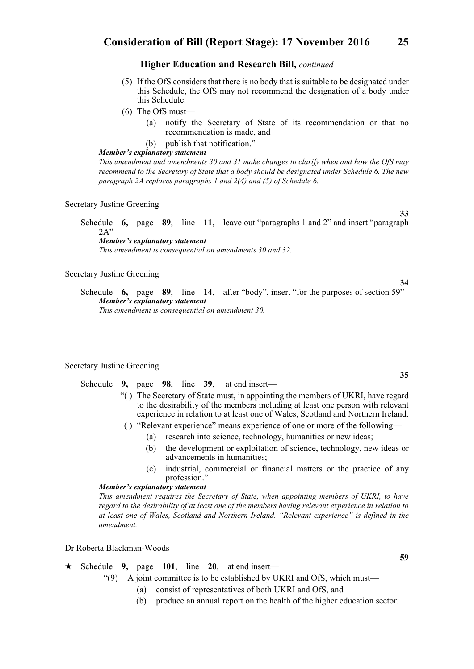- (5) If the OfS considers that there is no body that is suitable to be designated under this Schedule, the OfS may not recommend the designation of a body under this Schedule.
- (6) The OfS must—
	- (a) notify the Secretary of State of its recommendation or that no recommendation is made, and
	- (b) publish that notification."

# *Member's explanatory statement*

*This amendment and amendments 30 and 31 make changes to clarify when and how the OfS may recommend to the Secretary of State that a body should be designated under Schedule 6. The new paragraph 2A replaces paragraphs 1 and 2(4) and (5) of Schedule 6.*

#### Secretary Justine Greening

Schedule **6,** page **89**, line **11**, leave out "paragraphs 1 and 2" and insert "paragraph  $2A'$ *Member's explanatory statement* 

*This amendment is consequential on amendments 30 and 32.*

# Secretary Justine Greening

Schedule **6,** page **89**, line **14**, after "body", insert "for the purposes of section 59" *Member's explanatory statement This amendment is consequential on amendment 30.*

Secretary Justine Greening

Schedule **9,** page **98**, line **39**, at end insert—

- "( ) The Secretary of State must, in appointing the members of UKRI, have regard to the desirability of the members including at least one person with relevant experience in relation to at least one of Wales, Scotland and Northern Ireland.
- ( ) "Relevant experience" means experience of one or more of the following—
	- (a) research into science, technology, humanities or new ideas;
	- (b) the development or exploitation of science, technology, new ideas or advancements in humanities;
	- (c) industrial, commercial or financial matters or the practice of any profession."

# *Member's explanatory statement*

*This amendment requires the Secretary of State, when appointing members of UKRI, to have regard to the desirability of at least one of the members having relevant experience in relation to at least one of Wales, Scotland and Northern Ireland. "Relevant experience" is defined in the amendment.*

Dr Roberta Blackman-Woods

- $\star$  Schedule 9, page 101, line 20, at end insert—
	- "(9) A joint committee is to be established by UKRI and OfS, which must—
		- (a) consist of representatives of both UKRI and OfS, and
		- (b) produce an annual report on the health of the higher education sector.

**35**

**34**